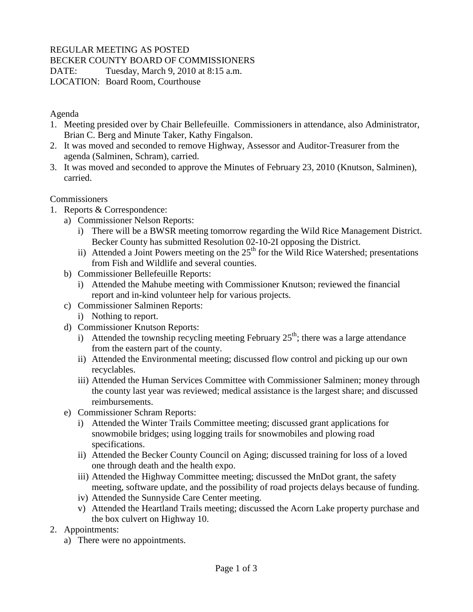# REGULAR MEETING AS POSTED

#### BECKER COUNTY BOARD OF COMMISSIONERS

DATE: Tuesday, March 9, 2010 at 8:15 a.m.

LOCATION: Board Room, Courthouse

## Agenda

- 1. Meeting presided over by Chair Bellefeuille. Commissioners in attendance, also Administrator, Brian C. Berg and Minute Taker, Kathy Fingalson.
- 2. It was moved and seconded to remove Highway, Assessor and Auditor-Treasurer from the agenda (Salminen, Schram), carried.
- 3. It was moved and seconded to approve the Minutes of February 23, 2010 (Knutson, Salminen), carried.

## **Commissioners**

- 1. Reports & Correspondence:
	- a) Commissioner Nelson Reports:
		- i) There will be a BWSR meeting tomorrow regarding the Wild Rice Management District. Becker County has submitted Resolution 02-10-2I opposing the District.
		- ii) Attended a Joint Powers meeting on the  $25<sup>th</sup>$  for the Wild Rice Watershed; presentations from Fish and Wildlife and several counties.
	- b) Commissioner Bellefeuille Reports:
		- i) Attended the Mahube meeting with Commissioner Knutson; reviewed the financial report and in-kind volunteer help for various projects.
	- c) Commissioner Salminen Reports:
		- i) Nothing to report.
	- d) Commissioner Knutson Reports:
		- i) Attended the township recycling meeting February  $25<sup>th</sup>$ ; there was a large attendance from the eastern part of the county.
		- ii) Attended the Environmental meeting; discussed flow control and picking up our own recyclables.
		- iii) Attended the Human Services Committee with Commissioner Salminen; money through the county last year was reviewed; medical assistance is the largest share; and discussed reimbursements.
	- e) Commissioner Schram Reports:
		- i) Attended the Winter Trails Committee meeting; discussed grant applications for snowmobile bridges; using logging trails for snowmobiles and plowing road specifications.
		- ii) Attended the Becker County Council on Aging; discussed training for loss of a loved one through death and the health expo.
		- iii) Attended the Highway Committee meeting; discussed the MnDot grant, the safety meeting, software update, and the possibility of road projects delays because of funding.
		- iv) Attended the Sunnyside Care Center meeting.
		- v) Attended the Heartland Trails meeting; discussed the Acorn Lake property purchase and the box culvert on Highway 10.
- 2. Appointments:
	- a) There were no appointments.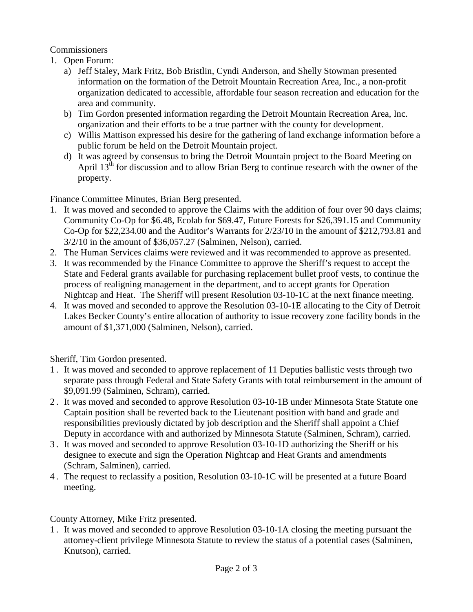## **Commissioners**

- 1. Open Forum:
	- a) Jeff Staley, Mark Fritz, Bob Bristlin, Cyndi Anderson, and Shelly Stowman presented information on the formation of the Detroit Mountain Recreation Area, Inc., a non-profit organization dedicated to accessible, affordable four season recreation and education for the area and community.
	- b) Tim Gordon presented information regarding the Detroit Mountain Recreation Area, Inc. organization and their efforts to be a true partner with the county for development.
	- c) Willis Mattison expressed his desire for the gathering of land exchange information before a public forum be held on the Detroit Mountain project.
	- d) It was agreed by consensus to bring the Detroit Mountain project to the Board Meeting on April 13<sup>th</sup> for discussion and to allow Brian Berg to continue research with the owner of the property.

Finance Committee Minutes, Brian Berg presented.

- 1. It was moved and seconded to approve the Claims with the addition of four over 90 days claims; Community Co-Op for \$6.48, Ecolab for \$69.47, Future Forests for \$26,391.15 and Community Co-Op for \$22,234.00 and the Auditor's Warrants for 2/23/10 in the amount of \$212,793.81 and 3/2/10 in the amount of \$36,057.27 (Salminen, Nelson), carried.
- 2. The Human Services claims were reviewed and it was recommended to approve as presented.
- 3. It was recommended by the Finance Committee to approve the Sheriff's request to accept the State and Federal grants available for purchasing replacement bullet proof vests, to continue the process of realigning management in the department, and to accept grants for Operation Nightcap and Heat. The Sheriff will present Resolution 03-10-1C at the next finance meeting.
- 4. It was moved and seconded to approve the Resolution 03-10-1E allocating to the City of Detroit Lakes Becker County's entire allocation of authority to issue recovery zone facility bonds in the amount of \$1,371,000 (Salminen, Nelson), carried.

Sheriff, Tim Gordon presented.

- 1 . It was moved and seconded to approve replacement of 11 Deputies ballistic vests through two separate pass through Federal and State Safety Grants with total reimbursement in the amount of \$9,091.99 (Salminen, Schram), carried.
- 2 . It was moved and seconded to approve Resolution 03-10-1B under Minnesota State Statute one Captain position shall be reverted back to the Lieutenant position with band and grade and responsibilities previously dictated by job description and the Sheriff shall appoint a Chief Deputy in accordance with and authorized by Minnesota Statute (Salminen, Schram), carried.
- 3 . It was moved and seconded to approve Resolution 03-10-1D authorizing the Sheriff or his designee to execute and sign the Operation Nightcap and Heat Grants and amendments (Schram, Salminen), carried.
- 4 . The request to reclassify a position, Resolution 03-10-1C will be presented at a future Board meeting.

County Attorney, Mike Fritz presented.

1 . It was moved and seconded to approve Resolution 03-10-1A closing the meeting pursuant the attorney-client privilege Minnesota Statute to review the status of a potential cases (Salminen, Knutson), carried.